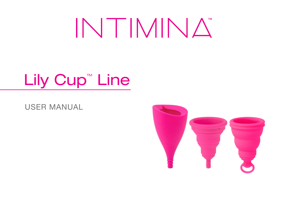# INTIMINA

# Lily Cup<sup>"</sup> Line

USER MANUAL

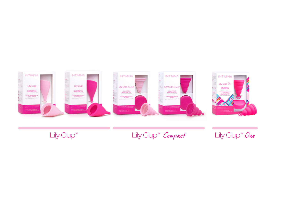

Lily Cup™ Lily Cup™ Compact Lily Cup™ One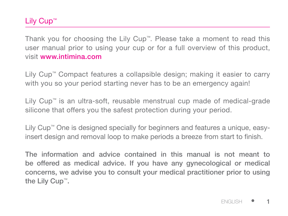# Lily Cup™

Thank you for choosing the Lily Cup™. Please take a moment to read this user manual prior to using your cup or for a full overview of this product, visit www.intimina.com

Lily Cup™ Compact features a collapsible design; making it easier to carry with you so your period starting never has to be an emergency again!

Lily Cup™ is an ultra-soft, reusable menstrual cup made of medical-grade silicone that offers you the safest protection during your period.

Lily Cup™ One is designed specially for beginners and features a unique, easyinsert design and removal loop to make periods a breeze from start to finish.

The information and advice contained in this manual is not meant to be offered as medical advice. If you have any gynecological or medical concerns, we advise you to consult your medical practitioner prior to using the Lily Cup™.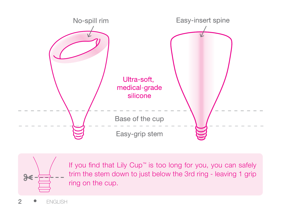



If you find that Lily Cup™ is too long for you, you can safely trim the stem down to just below the 3rd ring - leaving 1 grip ring on the cup.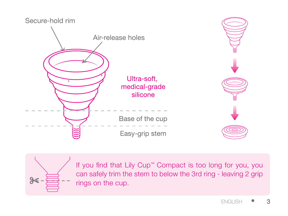



If you find that Lily Cup™ Compact is too long for you, you can safely trim the stem to below the 3rd ring - leaving 2 grip rings on the cup.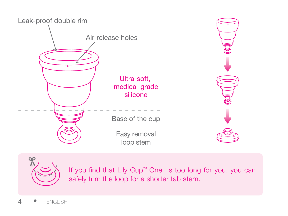



If you find that Lily Cup™ One is too long for you, you can safely trim the loop for a shorter tab stem.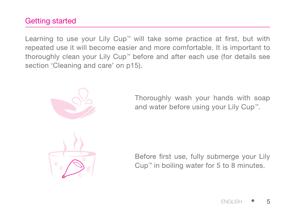# Getting started

Learning to use your Lily Cup™ will take some practice at first, but with repeated use it will become easier and more comfortable. It is important to thoroughly clean your Lily Cup™ before and after each use (for details see section 'Cleaning and care' on p15).



Thoroughly wash your hands with soap and water before using your Lily Cup™.



Before first use, fully submerge your Lily Cup™ in boiling water for 5 to 8 minutes.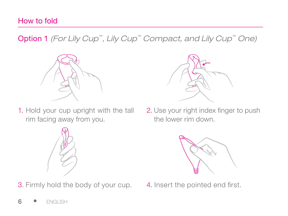# How to fold

Option 1 *(For Lily Cup™, Lily Cup™ Compact, and Lily Cup™ One)* 



1. Hold your cup upright with the tall rim facing away from you.



3. Firmly hold the body of your cup. 4. Insert the pointed end first.



2. Use your right index finger to push the lower rim down.

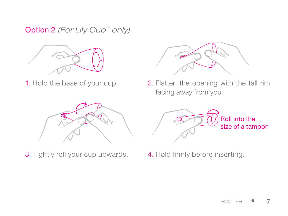Option 2 *(For Lily Cup™ only)*



1. Hold the base of your cup.



3. Tightly roll your cup upwards. 4. Hold firmly before inserting.



2. Flatten the opening with the tall rim facing away from you.

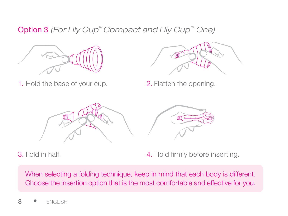Option 3 *(For Lily Cup™ Compact and Lily Cup™ One)*



1. Hold the base of your cup. 2. Flatten the opening.





3. Fold in half. The same state of the 4. Hold firmly before inserting.

When selecting a folding technique, keep in mind that each body is different. Choose the insertion option that is the most comfortable and effective for you.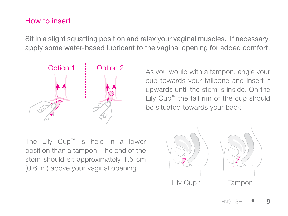#### How to insert

Sit in a slight squatting position and relax your vaginal muscles. If necessary, apply some water-based lubricant to the vaginal opening for added comfort.



As you would with a tampon, angle your cup towards your tailbone and insert it upwards until the stem is inside. On the Lily Cup™ the tall rim of the cup should be situated towards your back.

The Lily Cup™ is held in a lower position than a tampon. The end of the stem should sit approximately 1.5 cm (0.6 in.) above your vaginal opening.

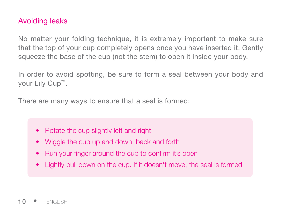# Avoiding leaks

No matter your folding technique, it is extremely important to make sure that the top of your cup completely opens once you have inserted it. Gently squeeze the base of the cup (not the stem) to open it inside your body.

In order to avoid spotting, be sure to form a seal between your body and your Lily Cup™.

There are many ways to ensure that a seal is formed:

- Rotate the cup slightly left and right
- Wiggle the cup up and down, back and forth
- Run your finger around the cup to confirm it's open
- Lightly pull down on the cup. If it doesn't move, the seal is formed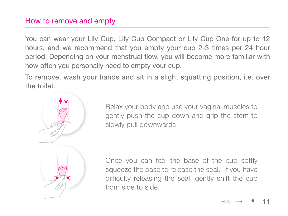#### How to remove and empty

You can wear your Lily Cup, Lily Cup Compact or Lily Cup One for up to 12 hours, and we recommend that you empty your cup 2-3 times per 24 hour period. Depending on your menstrual flow, you will become more familiar with how often you personally need to empty your cup.

To remove, wash your hands and sit in a slight squatting position, i.e. over the toilet.



Relax your body and use your vaginal muscles to gently push the cup down and grip the stem to slowly pull downwards.

Once you can feel the base of the cup softly squeeze the base to release the seal. If you have difficulty releasing the seal, gently shift the cup from side to side.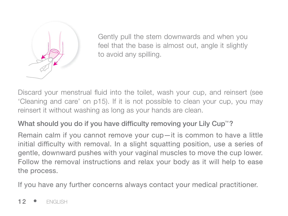

Gently pull the stem downwards and when you feel that the base is almost out, angle it slightly to avoid any spilling.

Discard your menstrual fluid into the toilet, wash your cup, and reinsert (see 'Cleaning and care' on p15). If it is not possible to clean your cup, you may reinsert it without washing as long as your hands are clean.

# What should you do if you have difficulty removing your Lily Cup™?

Remain calm if you cannot remove your cup—it is common to have a little initial difficulty with removal. In a slight squatting position, use a series of gentle, downward pushes with your vaginal muscles to move the cup lower. Follow the removal instructions and relax your body as it will help to ease the process.

If you have any further concerns always contact your medical practitioner.

12 • ENGLISH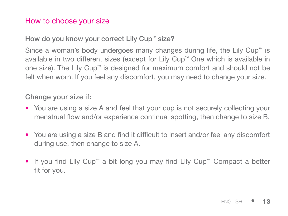#### How to choose your size

#### How do you know your correct Lily Cup™ size?

Since a woman's body undergoes many changes during life, the Lily Cup™ is available in two different sizes (except for Lily Cup™ One which is available in one size). The Lily Cup™ is designed for maximum comfort and should not be felt when worn. If you feel any discomfort, you may need to change your size.

#### Change your size if:

- You are using a size A and feel that your cup is not securely collecting your menstrual flow and/or experience continual spotting, then change to size B.
- You are using a size B and find it difficult to insert and/or feel any discomfort during use, then change to size A.
- If you find Lily Cup™ a bit long you may find Lily Cup™ Compact a better fit for you.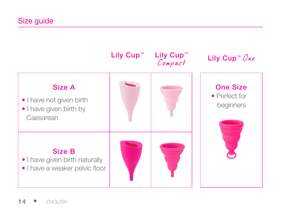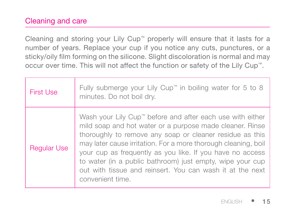# Cleaning and care

Cleaning and storing your Lily Cup™ properly will ensure that it lasts for a number of years. Replace your cup if you notice any cuts, punctures, or a sticky/oily film forming on the silicone. Slight discoloration is normal and may occur over time. This will not affect the function or safety of the Lily Cup™.

| First Use          | Fully submerge your Lily Cup™ in boiling water for 5 to 8<br>minutes. Do not boil dry.                                                                                                                                                                                                                                                                                                                                                                         |
|--------------------|----------------------------------------------------------------------------------------------------------------------------------------------------------------------------------------------------------------------------------------------------------------------------------------------------------------------------------------------------------------------------------------------------------------------------------------------------------------|
| <b>Reqular Use</b> | Wash your Lily Cup" before and after each use with either<br>mild soap and hot water or a purpose made cleaner. Rinse<br>thoroughly to remove any soap or cleaner residue as this<br>may later cause irritation. For a more thorough cleaning, boil<br>your cup as frequently as you like. If you have no access<br>to water (in a public bathroom) just empty, wipe your cup<br>out with tissue and reinsert. You can wash it at the next<br>convenient time. |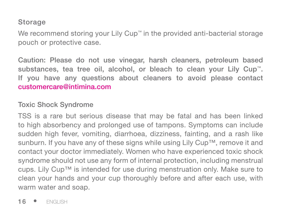# Storage

We recommend storing your Lily Cup™ in the provided anti-bacterial storage pouch or protective case.

Caution: Please do not use vinegar, harsh cleaners, petroleum based substances, tea tree oil, alcohol, or bleach to clean your Lily Cup™. If you have any questions about cleaners to avoid please contact customercare@intimina.com

#### Toxic Shock Syndrome

TSS is a rare but serious disease that may be fatal and has been linked to high absorbency and prolonged use of tampons. Symptoms can include sudden high fever, vomiting, diarrhoea, dizziness, fainting, and a rash like sunburn. If you have any of these signs while using Lily Cup™, remove it and contact your doctor immediately. Women who have experienced toxic shock syndrome should not use any form of internal protection, including menstrual cups. Lily Cup™ is intended for use during menstruation only. Make sure to clean your hands and your cup thoroughly before and after each use, with warm water and soap.

16 • ENGLISH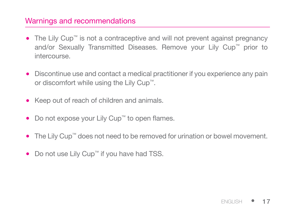#### Warnings and recommendations

- The Lily Cup™ is not a contraceptive and will not prevent against pregnancy and/or Sexually Transmitted Diseases. Remove your Lily Cup™ prior to intercourse.
- Discontinue use and contact a medical practitioner if you experience any pain or discomfort while using the Lily Cup™.
- Keep out of reach of children and animals. •
- Do not expose your Lily Cup™ to open flames.
- The Lily Cup™ does not need to be removed for urination or bowel movement.
- Do not use Lily Cup™ if you have had TSS.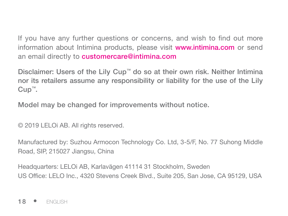If you have any further questions or concerns, and wish to find out more information about Intimina products, please visit **www.intimina.com** or send an email directly to **customercare@intimina.com** 

Disclaimer: Users of the Lily Cup™ do so at their own risk. Neither Intimina nor its retailers assume any responsibility or liability for the use of the Lily Cup™.

Model may be changed for improvements without notice.

© 2019 LELOi AB. All rights reserved.

Manufactured by: Suzhou Armocon Technology Co. Ltd, 3-5/F, No. 77 Suhong Middle Road, SIP, 215027 Jiangsu, China

Headquarters: LELOi AB, Karlavägen 41114 31 Stockholm, Sweden US Office: LELO Inc., 4320 Stevens Creek Blvd., Suite 205, San Jose, CA 95129, USA